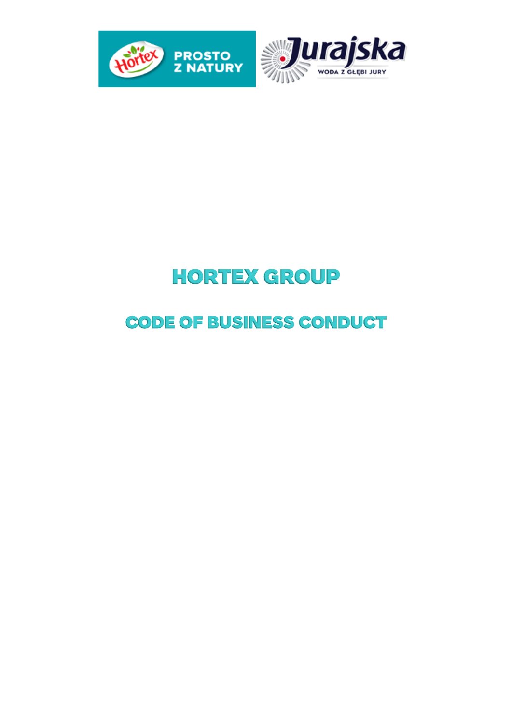



# HORTEX GROUP

# CODE OF BUSINESS CONDUCT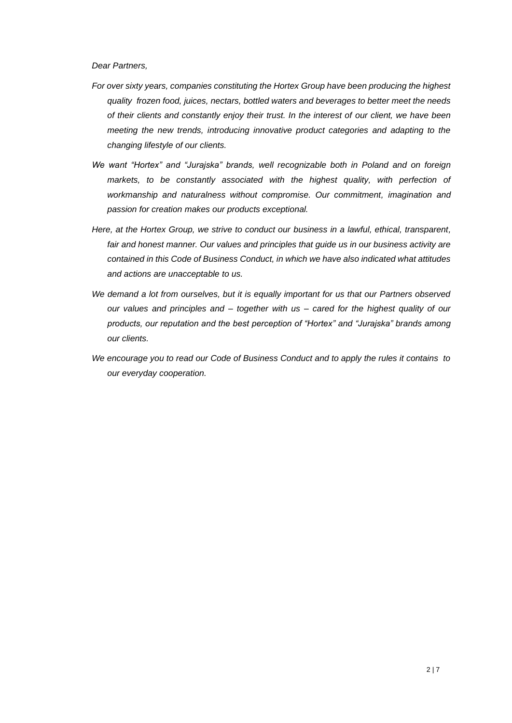*Dear Partners,* 

- *For over sixty years, companies constituting the Hortex Group have been producing the highest quality frozen food, juices, nectars, bottled waters and beverages to better meet the needs of their clients and constantly enjoy their trust. In the interest of our client, we have been meeting the new trends, introducing innovative product categories and adapting to the changing lifestyle of our clients.*
- *We want "Hortex" and "Jurajska" brands, well recognizable both in Poland and on foreign*  markets, to be constantly associated with the highest quality, with perfection of *workmanship and naturalness without compromise. Our commitment, imagination and passion for creation makes our products exceptional.*
- *Here, at the Hortex Group, we strive to conduct our business in a lawful, ethical, transparent, fair and honest manner. Our values and principles that guide us in our business activity are contained in this Code of Business Conduct, in which we have also indicated what attitudes and actions are unacceptable to us.*
- *We demand a lot from ourselves, but it is equally important for us that our Partners observed our values and principles and – together with us – cared for the highest quality of our products, our reputation and the best perception of "Hortex" and "Jurajska" brands among our clients.*
- *We encourage you to read our Code of Business Conduct and to apply the rules it contains to our everyday cooperation.*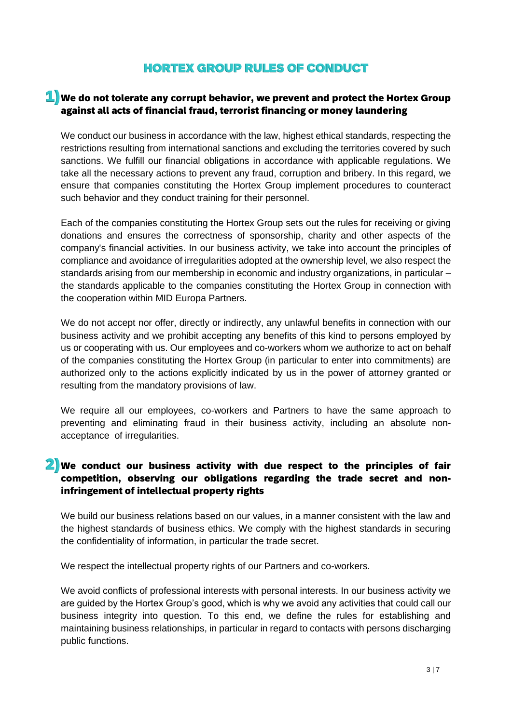# HORTEX GROUP RULES OF CONDUCT

#### $\textbf{1}$  We do not tolerate any corrupt behavior, we prevent and protect the Hortex Group against all acts of financial fraud, terrorist financing or money laundering

We conduct our business in accordance with the law, highest ethical standards, respecting the restrictions resulting from international sanctions and excluding the territories covered by such sanctions. We fulfill our financial obligations in accordance with applicable regulations. We take all the necessary actions to prevent any fraud, corruption and bribery. In this regard, we ensure that companies constituting the Hortex Group implement procedures to counteract such behavior and they conduct training for their personnel.

Each of the companies constituting the Hortex Group sets out the rules for receiving or giving donations and ensures the correctness of sponsorship, charity and other aspects of the company's financial activities. In our business activity, we take into account the principles of compliance and avoidance of irregularities adopted at the ownership level, we also respect the standards arising from our membership in economic and industry organizations, in particular – the standards applicable to the companies constituting the Hortex Group in connection with the cooperation within MID Europa Partners.

We do not accept nor offer, directly or indirectly, any unlawful benefits in connection with our business activity and we prohibit accepting any benefits of this kind to persons employed by us or cooperating with us. Our employees and co-workers whom we authorize to act on behalf of the companies constituting the Hortex Group (in particular to enter into commitments) are authorized only to the actions explicitly indicated by us in the power of attorney granted or resulting from the mandatory provisions of law.

We require all our employees, co-workers and Partners to have the same approach to preventing and eliminating fraud in their business activity, including an absolute nonacceptance of irregularities.

#### **2)** We conduct our business activity with due respect to the principles of fair competition, observing our obligations regarding the trade secret and noninfringement of intellectual property rights

We build our business relations based on our values, in a manner consistent with the law and the highest standards of business ethics. We comply with the highest standards in securing the confidentiality of information, in particular the trade secret.

We respect the intellectual property rights of our Partners and co-workers.

We avoid conflicts of professional interests with personal interests. In our business activity we are guided by the Hortex Group's good, which is why we avoid any activities that could call our business integrity into question. To this end, we define the rules for establishing and maintaining business relationships, in particular in regard to contacts with persons discharging public functions.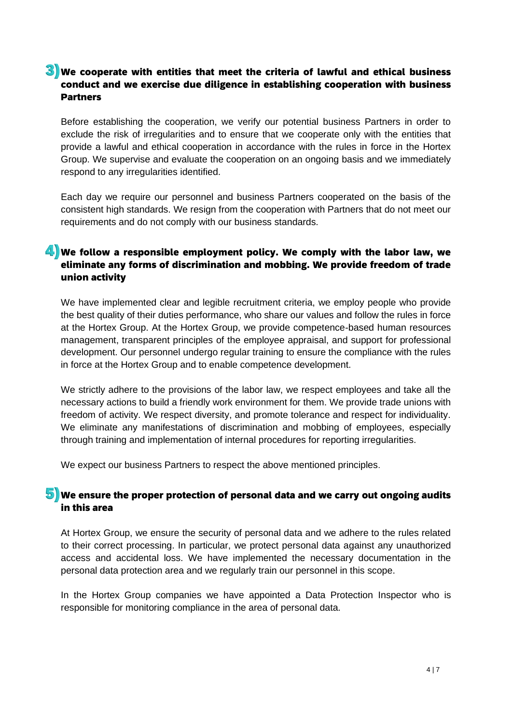#### $3)$  We cooperate with entities that meet the criteria of lawful and ethical business conduct and we exercise due diligence in establishing cooperation with business Partners

Before establishing the cooperation, we verify our potential business Partners in order to exclude the risk of irregularities and to ensure that we cooperate only with the entities that provide a lawful and ethical cooperation in accordance with the rules in force in the Hortex Group. We supervise and evaluate the cooperation on an ongoing basis and we immediately respond to any irregularities identified.

Each day we require our personnel and business Partners cooperated on the basis of the consistent high standards. We resign from the cooperation with Partners that do not meet our requirements and do not comply with our business standards.

#### 4) We follow a responsible employment policy. We comply with the labor law, we eliminate any forms of discrimination and mobbing. We provide freedom of trade union activity

We have implemented clear and legible recruitment criteria, we employ people who provide the best quality of their duties performance, who share our values and follow the rules in force at the Hortex Group. At the Hortex Group, we provide competence-based human resources management, transparent principles of the employee appraisal, and support for professional development. Our personnel undergo regular training to ensure the compliance with the rules in force at the Hortex Group and to enable competence development.

We strictly adhere to the provisions of the labor law, we respect employees and take all the necessary actions to build a friendly work environment for them. We provide trade unions with freedom of activity. We respect diversity, and promote tolerance and respect for individuality. We eliminate any manifestations of discrimination and mobbing of employees, especially through training and implementation of internal procedures for reporting irregularities.

We expect our business Partners to respect the above mentioned principles.

#### $\overline{\mathbf{5}}$  We ensure the proper protection of personal data and we carry out ongoing audits in this area

At Hortex Group, we ensure the security of personal data and we adhere to the rules related to their correct processing. In particular, we protect personal data against any unauthorized access and accidental loss. We have implemented the necessary documentation in the personal data protection area and we regularly train our personnel in this scope.

In the Hortex Group companies we have appointed a Data Protection Inspector who is responsible for monitoring compliance in the area of personal data.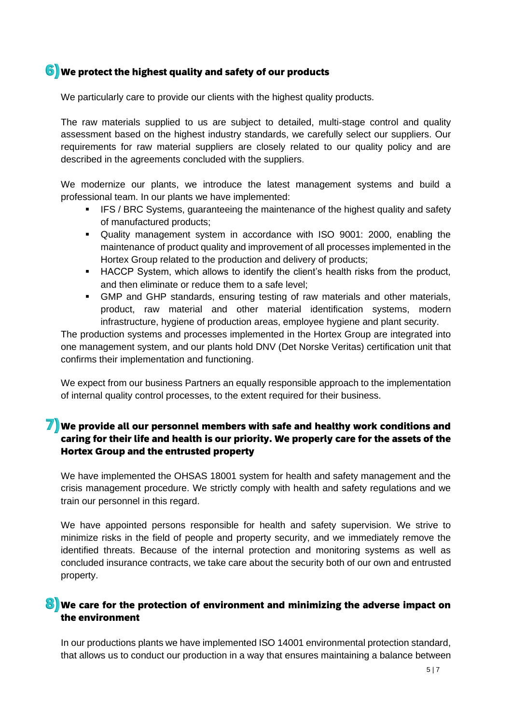#### $6)$  We protect the highest quality and safety of our products

We particularly care to provide our clients with the highest quality products.

The raw materials supplied to us are subject to detailed, multi-stage control and quality assessment based on the highest industry standards, we carefully select our suppliers. Our requirements for raw material suppliers are closely related to our quality policy and are described in the agreements concluded with the suppliers.

We modernize our plants, we introduce the latest management systems and build a professional team. In our plants we have implemented:

- **IFS / BRC Systems, guaranteeing the maintenance of the highest quality and safety** of manufactured products;
- Quality management system in accordance with ISO 9001: 2000, enabling the maintenance of product quality and improvement of all processes implemented in the Hortex Group related to the production and delivery of products;
- HACCP System, which allows to identify the client's health risks from the product, and then eliminate or reduce them to a safe level;
- GMP and GHP standards, ensuring testing of raw materials and other materials, product, raw material and other material identification systems, modern infrastructure, hygiene of production areas, employee hygiene and plant security.

The production systems and processes implemented in the Hortex Group are integrated into one management system, and our plants hold DNV (Det Norske Veritas) certification unit that confirms their implementation and functioning.

We expect from our business Partners an equally responsible approach to the implementation of internal quality control processes, to the extent required for their business.

#### $\mathbb{\mathbb{Z}}$  We provide all our personnel members with safe and healthy work conditions and caring for their life and health is our priority. We properly care for the assets of the Hortex Group and the entrusted property

We have implemented the OHSAS 18001 system for health and safety management and the crisis management procedure. We strictly comply with health and safety regulations and we train our personnel in this regard.

We have appointed persons responsible for health and safety supervision. We strive to minimize risks in the field of people and property security, and we immediately remove the identified threats. Because of the internal protection and monitoring systems as well as concluded insurance contracts, we take care about the security both of our own and entrusted property.

#### $\bf{3}$  We care for the protection of environment and minimizing the adverse impact on the environment

In our productions plants we have implemented ISO 14001 environmental protection standard, that allows us to conduct our production in a way that ensures maintaining a balance between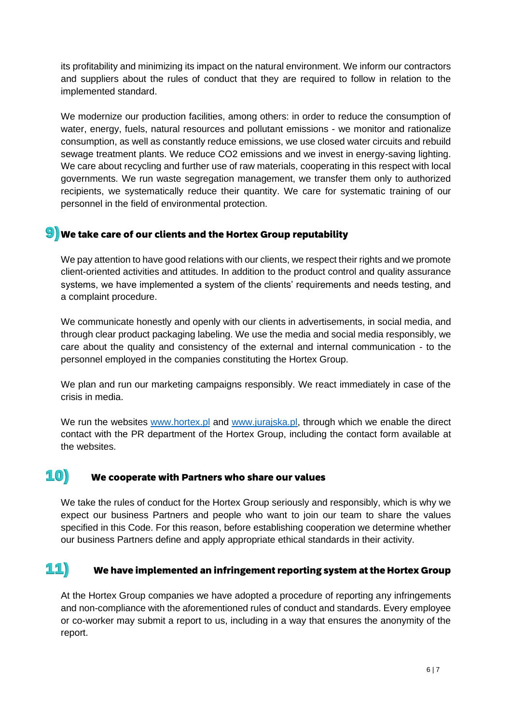its profitability and minimizing its impact on the natural environment. We inform our contractors and suppliers about the rules of conduct that they are required to follow in relation to the implemented standard.

We modernize our production facilities, among others: in order to reduce the consumption of water, energy, fuels, natural resources and pollutant emissions - we monitor and rationalize consumption, as well as constantly reduce emissions, we use closed water circuits and rebuild sewage treatment plants. We reduce CO2 emissions and we invest in energy-saving lighting. We care about recycling and further use of raw materials, cooperating in this respect with local governments. We run waste segregation management, we transfer them only to authorized recipients, we systematically reduce their quantity. We care for systematic training of our personnel in the field of environmental protection.

#### $\textcolor{blue}{9}$  We take care of our clients and the Hortex Group reputability

We pay attention to have good relations with our clients, we respect their rights and we promote client-oriented activities and attitudes. In addition to the product control and quality assurance systems, we have implemented a system of the clients' requirements and needs testing, and a complaint procedure.

We communicate honestly and openly with our clients in advertisements, in social media, and through clear product packaging labeling. We use the media and social media responsibly, we care about the quality and consistency of the external and internal communication - to the personnel employed in the companies constituting the Hortex Group.

We plan and run our marketing campaigns responsibly. We react immediately in case of the crisis in media.

We run the websites [www.hortex.pl](http://www.hortex.pl/) and [www.jurajska.pl,](http://www.jurajska.pl/) through which we enable the direct contact with the PR department of the Hortex Group, including the contact form available at the websites.

### $\ket{10}$  We cooperate with Partners who share our values

We take the rules of conduct for the Hortex Group seriously and responsibly, which is why we expect our business Partners and people who want to join our team to share the values specified in this Code. For this reason, before establishing cooperation we determine whether our business Partners define and apply appropriate ethical standards in their activity.

# $\mathbf{11}$  We have implemented an infringement reporting system at the Hortex Group

At the Hortex Group companies we have adopted a procedure of reporting any infringements and non-compliance with the aforementioned rules of conduct and standards. Every employee or co-worker may submit a report to us, including in a way that ensures the anonymity of the report.